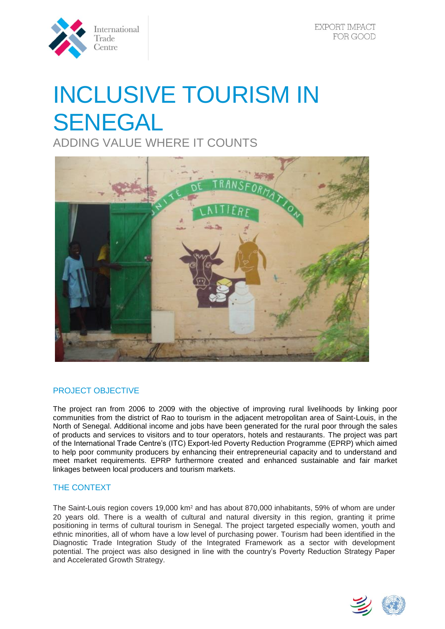

# INCLUSIVE TOURISM IN SENEGAL

ADDING VALUE WHERE IT COUNTS



# PROJECT OBJECTIVE

The project ran from 2006 to 2009 with the objective of improving rural livelihoods by linking poor communities from the district of Rao to tourism in the adjacent metropolitan area of Saint-Louis, in the North of Senegal. Additional income and jobs have been generated for the rural poor through the sales of products and services to visitors and to tour operators, hotels and restaurants. The project was part of the International Trade Centre's (ITC) Export-led Poverty Reduction Programme (EPRP) which aimed to help poor community producers by enhancing their entrepreneurial capacity and to understand and meet market requirements. EPRP furthermore created and enhanced sustainable and fair market linkages between local producers and tourism markets.

# THE CONTEXT

The Saint-Louis region covers 19,000 km² and has about 870,000 inhabitants, 59% of whom are under 20 years old. There is a wealth of cultural and natural diversity in this region, granting it prime positioning in terms of cultural tourism in Senegal. The project targeted especially women, youth and ethnic minorities, all of whom have a low level of purchasing power. Tourism had been identified in the Diagnostic Trade Integration Study of the Integrated Framework as a sector with development potential. The project was also designed in line with the country's Poverty Reduction Strategy Paper and Accelerated Growth Strategy.